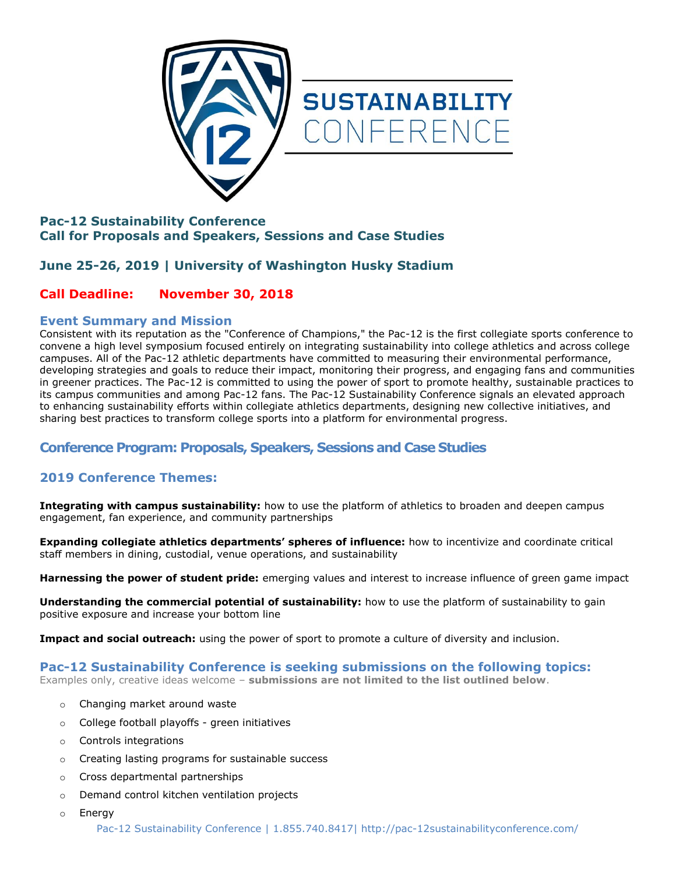



# **Pac-12 Sustainability Conference Call for Proposals and Speakers, Sessions and Case Studies**

# **June 25-26, 2019 | University of Washington Husky Stadium**

# **Call Deadline: November 30, 2018**

### **Event Summary and Mission**

Consistent with its reputation as the "Conference of Champions," the Pac-12 is the first collegiate sports conference to convene a high level symposium focused entirely on integrating sustainability into college athletics and across college campuses. All of the Pac-12 athletic departments have committed to measuring their environmental performance, developing strategies and goals to reduce their impact, monitoring their progress, and engaging fans and communities in greener practices. The Pac-12 is committed to using the power of sport to promote healthy, sustainable practices to its campus communities and among Pac-12 fans. The Pac-12 Sustainability Conference signals an elevated approach to enhancing sustainability efforts within collegiate athletics departments, designing new collective initiatives, and sharing best practices to transform college sports into a platform for environmental progress.

# **Conference Program: Proposals, Speakers, Sessions and Case Studies**

# **2019 Conference Themes:**

**Integrating with campus sustainability:** how to use the platform of athletics to broaden and deepen campus engagement, fan experience, and community partnerships

**Expanding collegiate athletics departments' spheres of influence:** how to incentivize and coordinate critical staff members in dining, custodial, venue operations, and sustainability

**Harnessing the power of student pride:** emerging values and interest to increase influence of green game impact

**Understanding the commercial potential of sustainability:** how to use the platform of sustainability to gain positive exposure and increase your bottom line

**Impact and social outreach:** using the power of sport to promote a culture of diversity and inclusion.

## **Pac-12 Sustainability Conference is seeking submissions on the following topics:**

Examples only, creative ideas welcome – **submissions are not limited to the list outlined below**.

- o Changing market around waste
- o College football playoffs green initiatives
- o Controls integrations
- o Creating lasting programs for sustainable success
- o Cross departmental partnerships
- o Demand control kitchen ventilation projects
- o Energy

Pac-12 Sustainability Conference | 1.855.740.8417| http://pac-12sustainabilityconference.com/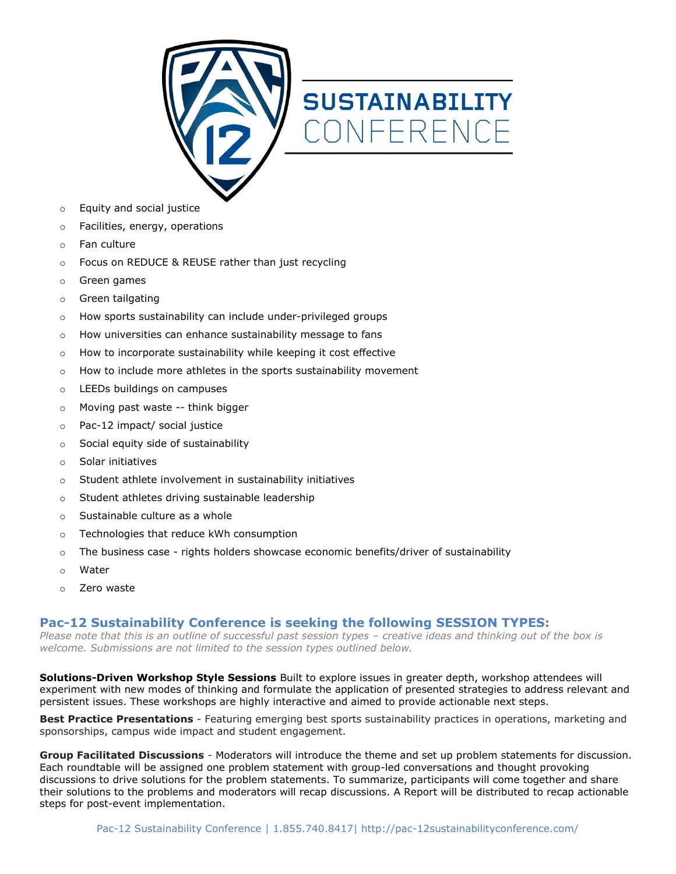

# **SUSTAINABILITY** CONFERENCE

- o Equity and social justice
- Facilities, energy, operations
- Fan culture
- o Focus on REDUCE & REUSE rather than just recycling
- o Green games
- o Green tailgating
- o How sports sustainability can include under-privileged groups
- o How universities can enhance sustainability message to fans
- o How to incorporate sustainability while keeping it cost effective
- o How to include more athletes in the sports sustainability movement
- o LEEDs buildings on campuses
- o Moving past waste -- think bigger
- o Pac-12 impact/ social justice
- o Social equity side of sustainability
- o Solar initiatives
- Student athlete involvement in sustainability initiatives
- o Student athletes driving sustainable leadership
- o Sustainable culture as a whole
- o Technologies that reduce kWh consumption
- $\circ$  The business case rights holders showcase economic benefits/driver of sustainability
- o Water
- o Zero waste

#### **Pac-12 Sustainability Conference is seeking the following SESSION TYPES:**

*Please note that this is an outline of successful past session types - creative ideas and thinking out of the box is welcome. Submissions are not limited to the session types outlined below.*

**Solutions-Driven Workshop Style Sessions** Built to explore issues in greater depth, workshop attendees will experiment with new modes of thinking and formulate the application of presented strategies to address relevant and persistent issues. These workshops are highly interactive and aimed to provide actionable next steps.

**Best Practice Presentations** - Featuring emerging best sports sustainability practices in operations, marketing and sponsorships, campus wide impact and student engagement.

**Group Facilitated Discussions** - Moderators will introduce the theme and set up problem statements for discussion. Each roundtable will be assigned one problem statement with group-led conversations and thought provoking discussions to drive solutions for the problem statements. To summarize, participants will come together and share their solutions to the problems and moderators will recap discussions. A Report will be distributed to recap actionable steps for post-event implementation.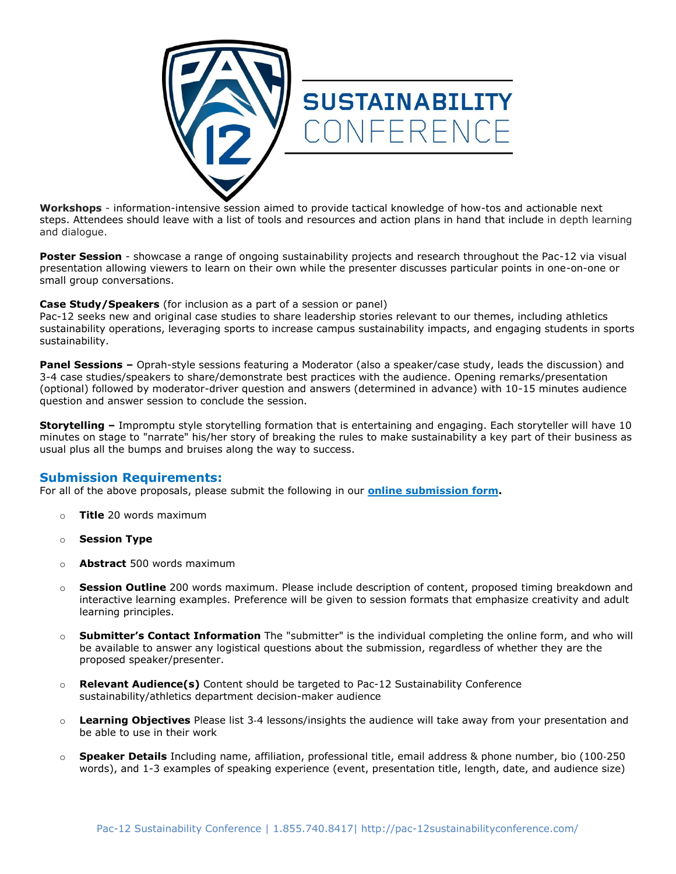

**Workshops** - information-intensive session aimed to provide tactical knowledge of how-tos and actionable next steps. Attendees should leave with a list of tools and resources and action plans in hand that include in depth learning and dialogue.

**Poster Session** - showcase a range of ongoing sustainability projects and research throughout the Pac-12 via visual presentation allowing viewers to learn on their own while the presenter discusses particular points in one-on-one or small group conversations.

#### **Case Study/Speakers** (for inclusion as a part of a session or panel)

Pac-12 seeks new and original case studies to share leadership stories relevant to our themes, including athletics sustainability operations, leveraging sports to increase campus sustainability impacts, and engaging students in sports sustainability.

**Panel Sessions –** Oprah-style sessions featuring a Moderator (also a speaker/case study, leads the discussion) and 3-4 case studies/speakers to share/demonstrate best practices with the audience. Opening remarks/presentation (optional) followed by moderator-driver question and answers (determined in advance) with 10-15 minutes audience question and answer session to conclude the session.

**Storytelling –** Impromptu style storytelling formation that is entertaining and engaging. Each storyteller will have 10 minutes on stage to "narrate" his/her story of breaking the rules to make sustainability a key part of their business as usual plus all the bumps and bruises along the way to success.

#### **Submission Requirements:**

For all of the above proposals, please submit the following in our **[online submission form.](https://docs.google.com/forms/d/e/1FAIpQLSfla57oejkE5lkjbzKBZCVr05r1K_BSrBzf-FQ1V_Eqo-uEJg/viewform?usp=sf_link)** 

- o **Title** 20 words maximum
- o **Session Type**
- o **Abstract** 500 words maximum
- o **Session Outline** 200 words maximum. Please include description of content, proposed timing breakdown and interactive learning examples. Preference will be given to session formats that emphasize creativity and adult learning principles.
- o **Submitter's Contact Information** The "submitter" is the individual completing the online form, and who will be available to answer any logistical questions about the submission, regardless of whether they are the proposed speaker/presenter.
- o **Relevant Audience(s)** Content should be targeted to Pac-12 Sustainability Conference sustainability/athletics department decision-maker audience
- o **Learning Objectives** Please list 3‐4 lessons/insights the audience will take away from your presentation and be able to use in their work
- o **Speaker Details** Including name, affiliation, professional title, email address & phone number, bio (100‐250 words), and 1-3 examples of speaking experience (event, presentation title, length, date, and audience size)